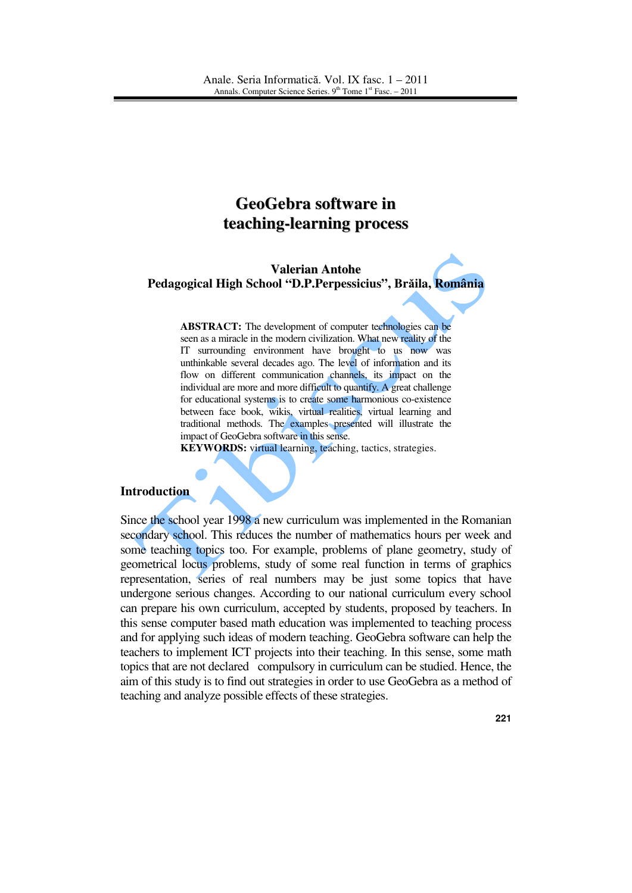# **GeoGebra software in teaching-learning process**

## **Valerian Antohe Pedagogical High School "D.P.Perpessicius", Br**ă**ila, România**

**ABSTRACT:** The development of computer technologies can be seen as a miracle in the modern civilization. What new reality of the IT surrounding environment have brought to us now was unthinkable several decades ago. The level of information and its flow on different communication channels, its impact on the individual are more and more difficult to quantify. A great challenge for educational systems is to create some harmonious co-existence between face book, wikis, virtual realities, virtual learning and traditional methods. The examples presented will illustrate the impact of GeoGebra software in this sense.

**KEYWORDS:** virtual learning, teaching, tactics, strategies.

#### **Introduction**

Since the school year 1998 a new curriculum was implemented in the Romanian secondary school. This reduces the number of mathematics hours per week and some teaching topics too. For example, problems of plane geometry, study of geometrical locus problems, study of some real function in terms of graphics representation, series of real numbers may be just some topics that have undergone serious changes. According to our national curriculum every school can prepare his own curriculum, accepted by students, proposed by teachers. In this sense computer based math education was implemented to teaching process and for applying such ideas of modern teaching. GeoGebra software can help the teachers to implement ICT projects into their teaching. In this sense, some math topics that are not declared compulsory in curriculum can be studied. Hence, the aim of this study is to find out strategies in order to use GeoGebra as a method of teaching and analyze possible effects of these strategies.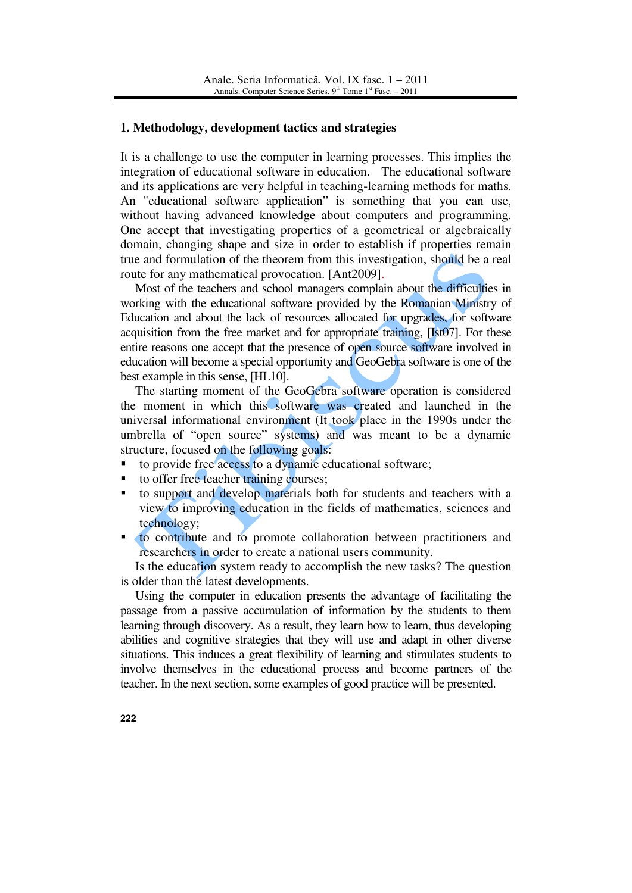## **1. Methodology, development tactics and strategies**

It is a challenge to use the computer in learning processes. This implies the integration of educational software in education. The educational software and its applications are very helpful in teaching-learning methods for maths. An "educational software application" is something that you can use, without having advanced knowledge about computers and programming. One accept that investigating properties of a geometrical or algebraically domain, changing shape and size in order to establish if properties remain true and formulation of the theorem from this investigation, should be a real route for any mathematical provocation. [Ant2009].

 Most of the teachers and school managers complain about the difficulties in working with the educational software provided by the Romanian Ministry of Education and about the lack of resources allocated for upgrades, for software acquisition from the free market and for appropriate training, [Ist07]. For these entire reasons one accept that the presence of open source software involved in education will become a special opportunity and GeoGebra software is one of the best example in this sense, [HL10].

The starting moment of the GeoGebra software operation is considered the moment in which this software was created and launched in the universal informational environment (It took place in the 1990s under the umbrella of "open source" systems) and was meant to be a dynamic structure, focused on the following goals:

- to provide free access to a dynamic educational software;
- to offer free teacher training courses;
- to support and develop materials both for students and teachers with a view to improving education in the fields of mathematics, sciences and technology;
- **to contribute and to promote collaboration between practitioners and** researchers in order to create a national users community.

 Is the education system ready to accomplish the new tasks? The question is older than the latest developments.

Using the computer in education presents the advantage of facilitating the passage from a passive accumulation of information by the students to them learning through discovery. As a result, they learn how to learn, thus developing abilities and cognitive strategies that they will use and adapt in other diverse situations. This induces a great flexibility of learning and stimulates students to involve themselves in the educational process and become partners of the teacher. In the next section, some examples of good practice will be presented.

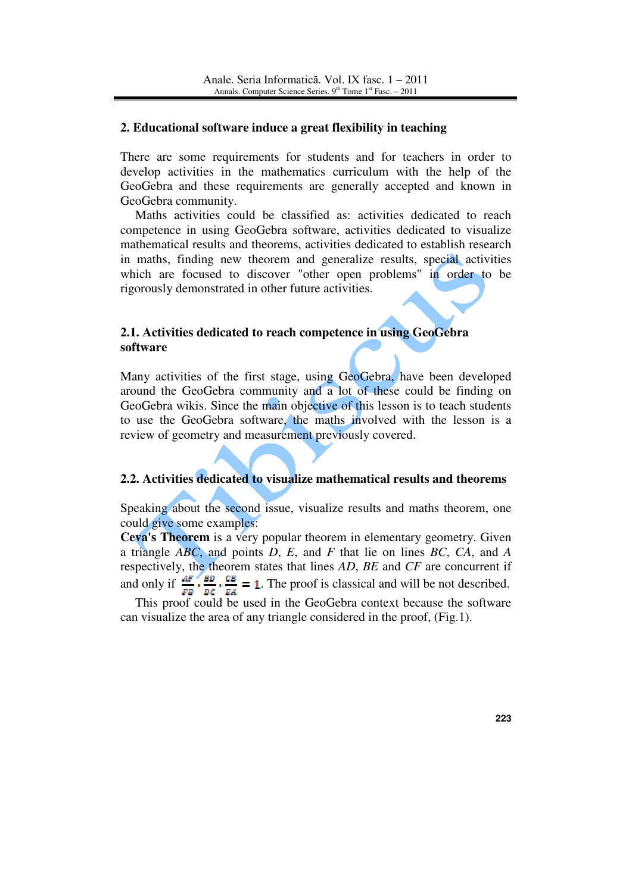## **2. Educational software induce a great flexibility in teaching**

There are some requirements for students and for teachers in order to develop activities in the mathematics curriculum with the help of the GeoGebra and these requirements are generally accepted and known in GeoGebra community.

Maths activities could be classified as: activities dedicated to reach competence in using GeoGebra software, activities dedicated to visualize mathematical results and theorems, activities dedicated to establish research in maths, finding new theorem and generalize results, special activities which are focused to discover "other open problems" in order to be rigorously demonstrated in other future activities.

## **2.1. Activities dedicated to reach competence in using GeoGebra software**

Many activities of the first stage, using GeoGebra, have been developed around the GeoGebra community and a lot of these could be finding on GeoGebra wikis. Since the main objective of this lesson is to teach students to use the GeoGebra software, the maths involved with the lesson is a review of geometry and measurement previously covered.

## **2.2. Activities dedicated to visualize mathematical results and theorems**

Speaking about the second issue, visualize results and maths theorem, one could give some examples:

**Ceva's Theorem** is a very popular theorem in elementary geometry. Given a triangle *ABC*, and points *D*, *E*, and *F* that lie on lines *BC*, *CA*, and *A*  respectively, the theorem states that lines *AD*, *BE* and *CF* are concurrent if and only if  $\frac{AF}{FB} \cdot \frac{EB}{BC} \cdot \frac{CE}{EA} = 1$ . The proof is classical and will be not described.

This proof could be used in the GeoGebra context because the software can visualize the area of any triangle considered in the proof, (Fig.1).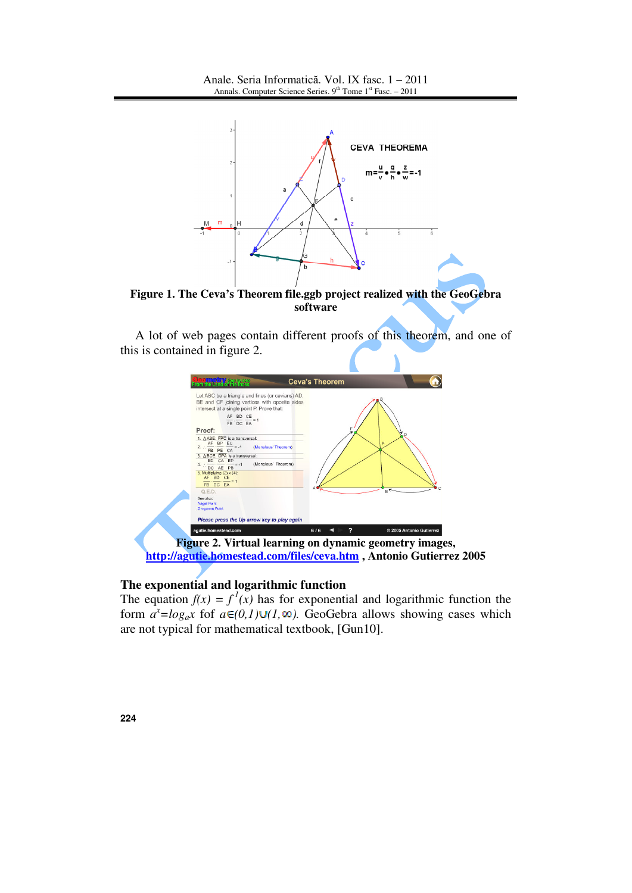

**Figure 1. The Ceva's Theorem file.ggb project realized with the GeoGebra software**

A lot of web pages contain different proofs of this theorem, and one of this is contained in figure 2.



## **The exponential and logarithmic function**

The equation  $f(x) = f^2(x)$  has for exponential and logarithmic function the form  $a^x = log_a x$  fof  $a \in (0,1) \cup (1, \infty)$ . GeoGebra allows showing cases which are not typical for mathematical textbook, [Gun10].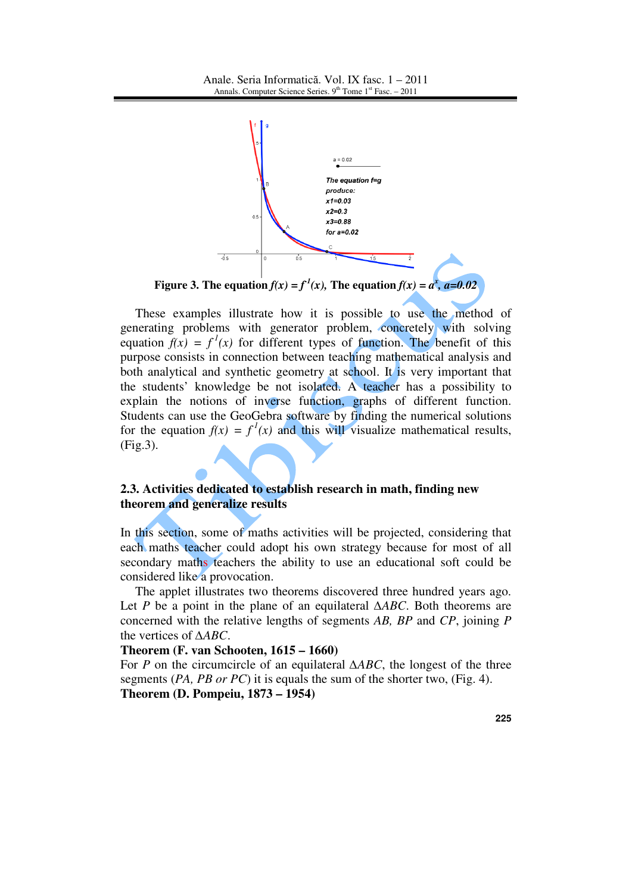

**Figure 3. The equation**  $f(x) = f^2(x)$ **, The equation**  $f(x) = a^x$ **,**  $a=0.02$ 

These examples illustrate how it is possible to use the method of generating problems with generator problem, concretely with solving equation  $f(x) = f<sup>1</sup>(x)$  for different types of function. The benefit of this purpose consists in connection between teaching mathematical analysis and both analytical and synthetic geometry at school. It is very important that the students' knowledge be not isolated. A teacher has a possibility to explain the notions of inverse function, graphs of different function. Students can use the GeoGebra software by finding the numerical solutions for the equation  $f(x) = f<sup>1</sup>(x)$  and this will visualize mathematical results, (Fig.3).

# **2.3. Activities dedicated to establish research in math, finding new theorem and generalize results**

In this section, some of maths activities will be projected, considering that each maths teacher could adopt his own strategy because for most of all secondary maths teachers the ability to use an educational soft could be considered like a provocation.

The applet illustrates two theorems discovered three hundred years ago. Let *P* be a point in the plane of an equilateral ∆*ABC*. Both theorems are concerned with the relative lengths of segments *AB, BP* and *CP*, joining *P* the vertices of ∆*ABC*.

#### **Theorem (F. van Schooten, 1615 – 1660)**

For *P* on the circumcircle of an equilateral ∆*ABC*, the longest of the three segments (*PA, PB or PC*) it is equals the sum of the shorter two, (Fig. 4). **Theorem (D. Pompeiu, 1873 – 1954)**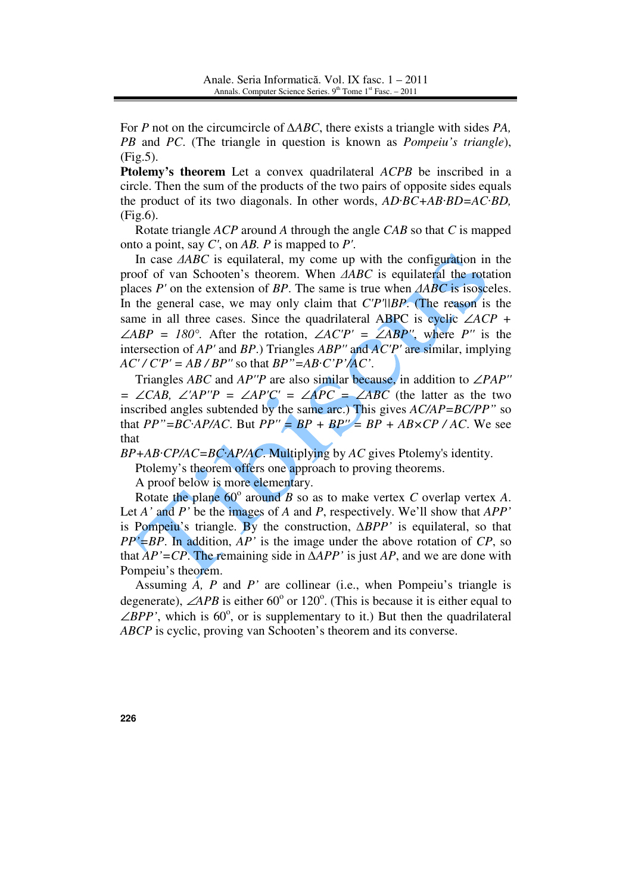For *P* not on the circumcircle of ∆*ABC*, there exists a triangle with sides *PA, PB* and *PC*. (The triangle in question is known as *Pompeiu's triangle*), (Fig.5).

**Ptolemy's theorem** Let a convex quadrilateral *ACPB* be inscribed in a circle. Then the sum of the products of the two pairs of opposite sides equals the product of its two diagonals. In other words, *AD*·*BC+AB*·*BD=AC*·*BD,*  (Fig.6).

Rotate triangle *ACP* around *A* through the angle *CAB* so that *C* is mapped onto a point, say *C'*, on *AB. P* is mapped to *P'*.

In case ∆*ABC* is equilateral, my come up with the configuration in the proof of van Schooten's theorem. When ∆*ABC* is equilateral the rotation places *P'* on the extension of *BP*. The same is true when ∆*ABC* is isosceles. In the general case, we may only claim that *C'P'||BP*. (The reason is the same in all three cases. Since the quadrilateral ABPC is cyclic ∠*ACP +*  ∠*ABP* = 180°. After the rotation, ∠*AC'P'* = ∠*ABP''*, where *P''* is the intersection of *AP'* and *BP*.) Triangles *ABP''* and *AC'P'* are similar, implying  $AC'/CP' = AB/BP''$  so that  $BP''=AB'C'P'/AC'$ .

Triangles *ABC* and *AP''P* are also similar because, in addition to ∠*PAP''*   $= ∠CAB$ , ∠'*AP*''P = ∠*AP*'C' = ∠*APC* = ∠*ABC* (the latter as the two inscribed angles subtended by the same arc.) This gives *AC/AP=BC/PP"* so that  $PP''=BC \cdot AP/AC$ . But  $PP'' = BP + BP'' = BP + AB \times CP / AC$ . We see that

*BP+AB*·*CP/AC=BC*·*AP/AC*. Multiplying by *AC* gives Ptolemy's identity.

Ptolemy's theorem offers one approach to proving theorems.

A proof below is more elementary.

Rotate the plane  $60^{\circ}$  around *B* so as to make vertex *C* overlap vertex *A*. Let *A'* and *P'* be the images of *A* and *P*, respectively. We'll show that *APP'* is Pompeiu's triangle. By the construction, ∆*BPP'* is equilateral, so that *PP'=BP*. In addition, *AP'* is the image under the above rotation of *CP*, so that *AP'=CP*. The remaining side in ∆*APP'* is just *AP*, and we are done with Pompeiu's theorem.

Assuming *A, P* and *P'* are collinear (i.e., when Pompeiu's triangle is degenerate),  $\angle APB$  is either 60<sup>°</sup> or 120<sup>°</sup>. (This is because it is either equal to  $\angle BPP'$ , which is 60°, or is supplementary to it.) But then the quadrilateral *ABCP* is cyclic, proving van Schooten's theorem and its converse.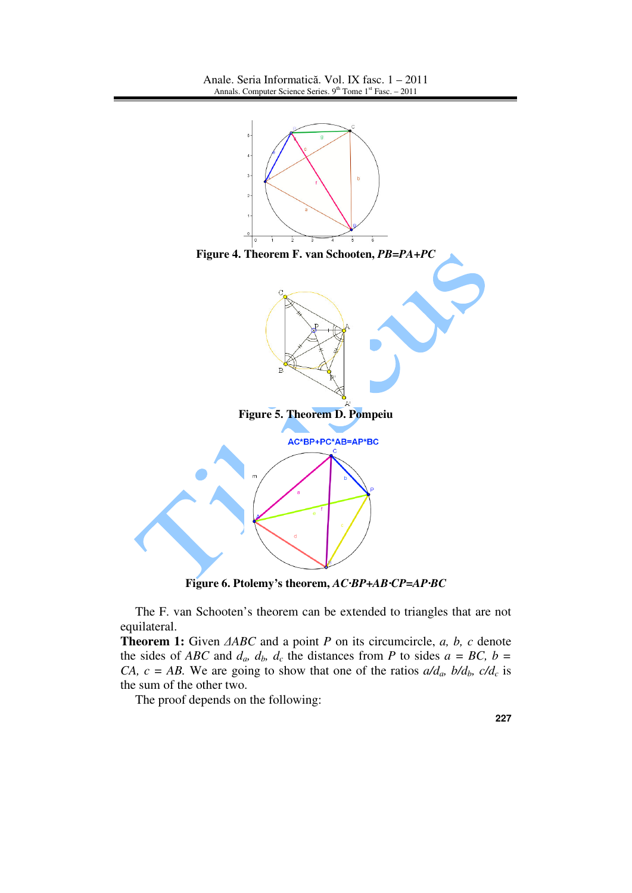

**Figure 6. Ptolemy's theorem,** *AC*·*BP+AB*·*CP=AP*·*BC*

The F. van Schooten's theorem can be extended to triangles that are not equilateral.

**Theorem 1:** Given ∆*ABC* and a point *P* on its circumcircle, *a, b, c* denote the sides of *ABC* and  $d_a$ ,  $d_b$ ,  $d_c$  the distances from *P* to sides  $a = BC$ ,  $b =$ *CA, c = AB.* We are going to show that one of the ratios  $a/d_a$ ,  $b/d_b$ ,  $c/d_c$  is the sum of the other two.

The proof depends on the following:

**227**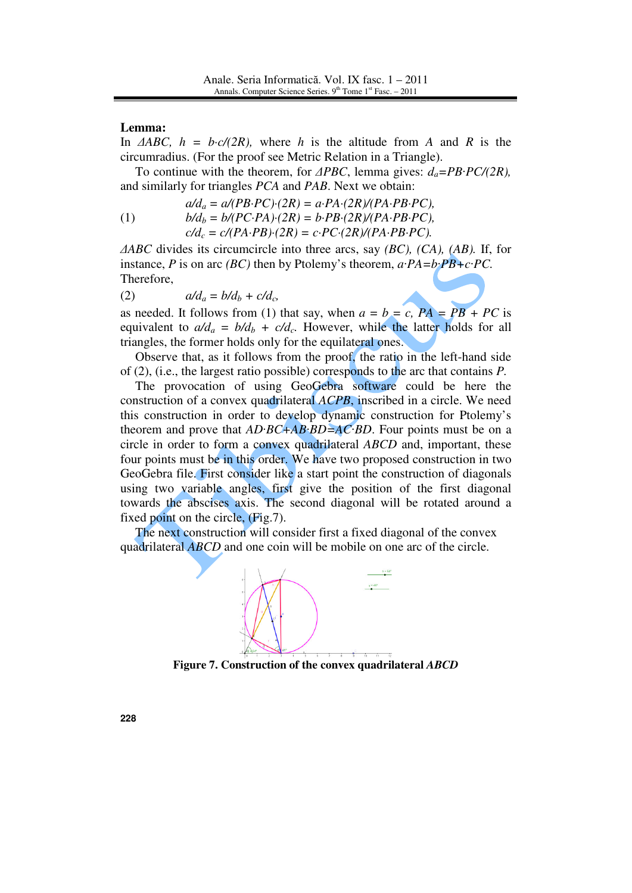### **Lemma:**

In ∆*ABC, h = b·c/(2R),* where *h* is the altitude from *A* and *R* is the circumradius. (For the proof see Metric Relation in a Triangle).

 To continue with the theorem, for ∆*PBC*, lemma gives: *da=PB*·*PC/(2R),*  and similarly for triangles *PCA* and *PAB*. Next we obtain:

(1) 
$$
a/d_a = a/(PB \cdot PC) \cdot (2R) = a \cdot PA \cdot (2R)/(PA \cdot PB \cdot PC),
$$

$$
b/d_b = b/(PC \cdot PA) \cdot (2R) = b \cdot PB \cdot (2R)/(PA \cdot PB \cdot PC),
$$

$$
c/d_c = c/(PA \cdot PB) \cdot (2R) = c \cdot PC \cdot (2R)/(PA \cdot PB \cdot PC).
$$

∆*ABC* divides its circumcircle into three arcs, say *(BC), (CA), (AB).* If, for instance, *P* is on arc *(BC)* then by Ptolemy's theorem, *a*·*PA=b*·*PB+c*·*PC.*  Therefore,

$$
(2) \t a/d_a = b/d_b + c/d_c,
$$

as needed. It follows from (1) that say, when  $a = b = c$ ,  $PA = PB + PC$  is equivalent to  $a/d_a = b/d_b + c/d_c$ . However, while the latter holds for all triangles, the former holds only for the equilateral ones.

Observe that, as it follows from the proof, the ratio in the left-hand side of (2), (i.e., the largest ratio possible) corresponds to the arc that contains *P.*

The provocation of using GeoGebra software could be here the construction of a convex quadrilateral *ACPB*, inscribed in a circle. We need this construction in order to develop dynamic construction for Ptolemy's theorem and prove that *AD*·*BC+AB*·*BD=AC*·*BD*. Four points must be on a circle in order to form a convex quadrilateral *ABCD* and, important, these four points must be in this order. We have two proposed construction in two GeoGebra file. First consider like a start point the construction of diagonals using two variable angles, first give the position of the first diagonal towards the abscises axis. The second diagonal will be rotated around a fixed point on the circle, (Fig.7).

The next construction will consider first a fixed diagonal of the convex quadrilateral *ABCD* and one coin will be mobile on one arc of the circle.



**Figure 7. Construction of the convex quadrilateral** *ABCD*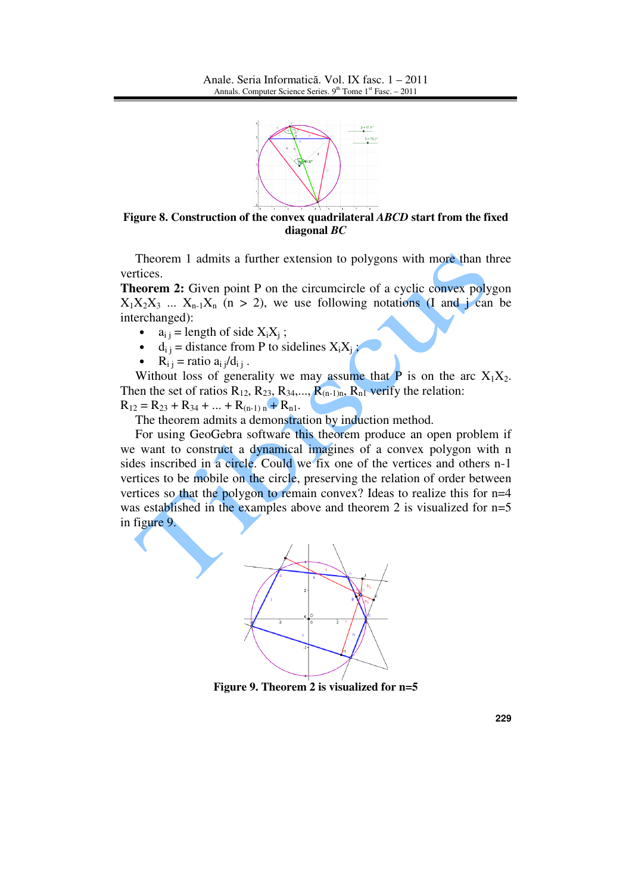

**Figure 8. Construction of the convex quadrilateral** *ABCD* **start from the fixed diagonal** *BC*

Theorem 1 admits a further extension to polygons with more than three vertices.

**Theorem 2:** Given point P on the circumcircle of a cyclic convex polygon  $X_1X_2X_3$  ...  $X_{n-1}X_n$  (n > 2), we use following notations (I and j can be interchanged):

- $a_{ij}$  = length of side  $X_iX_j$ ;
- $d_{ij}$  = distance from P to sidelines  $X_i X_j$ ;
- $R_{i j}$  = ratio  $a_{i j}/d_{i j}$ .

Without loss of generality we may assume that  $P$  is on the arc  $X_1X_2$ . Then the set of ratios  $R_{12}$ ,  $R_{23}$ ,  $R_{34}$ ,...,  $R_{(n-1)n}$ ,  $R_{n1}$  verify the relation:  $R_{12} = R_{23} + R_{34} + ... + R_{(n-1)n} + R_{n1}.$ 

The theorem admits a demonstration by induction method.

For using GeoGebra software this theorem produce an open problem if we want to construct a dynamical imagines of a convex polygon with n sides inscribed in a circle. Could we fix one of the vertices and others n-1 vertices to be mobile on the circle, preserving the relation of order between vertices so that the polygon to remain convex? Ideas to realize this for n=4 was established in the examples above and theorem 2 is visualized for  $n=5$ in figure 9.



**Figure 9. Theorem 2 is visualized for n=5**